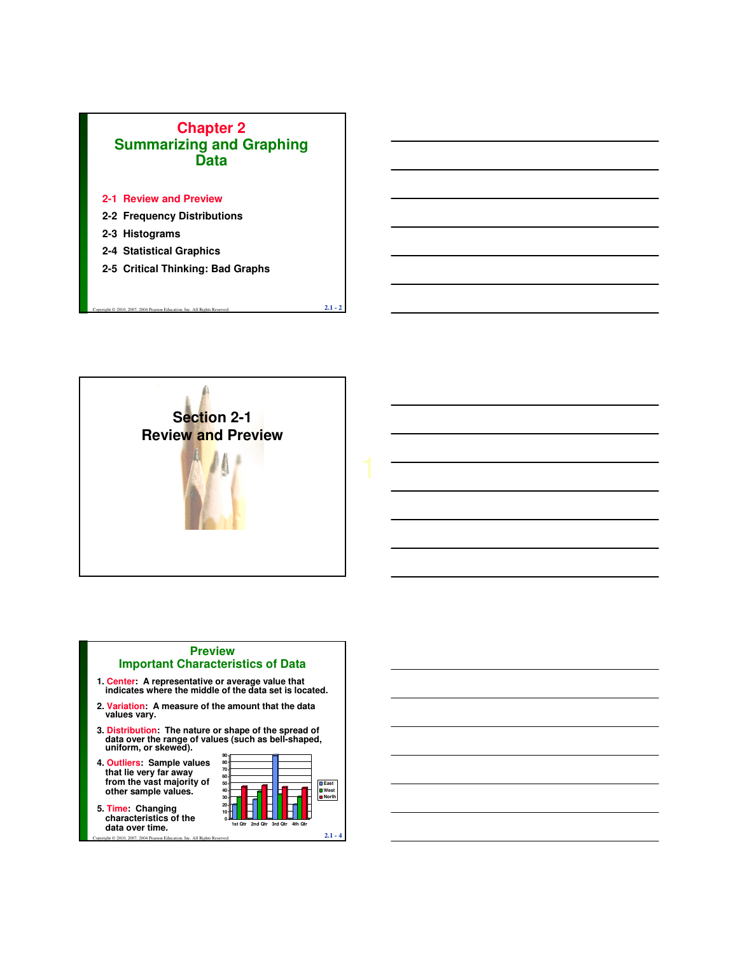### **Chapter 2 Summarizing and Graphing Data**

- **2-1 Review and Preview**
- **2-2 Frequency Distributions**
- **2-3 Histograms**
- **2-4 Statistical Graphics**
- **2-5 Critical Thinking: Bad Graphs**



Copyright © 2010, 2007, 2004 Pearson Education, Inc. All Rights Reserved. **2.1 - 2**

#### **Preview Important Characteristics of Data**

- **1. Center: A representative or average value that indicates where the middle of the data set is located.**
- **2. Variation: A measure of the amount that the data values vary.**
- **3. Distribution:** The nature or shape of the spread of data over the range of values (such as bell-shaped, uniform, or skewed).
- **4. Outliers: Sample values that lie very far away from the vast majority of other sample values.**

**5. Time: Changing characteristics of the data over time.**

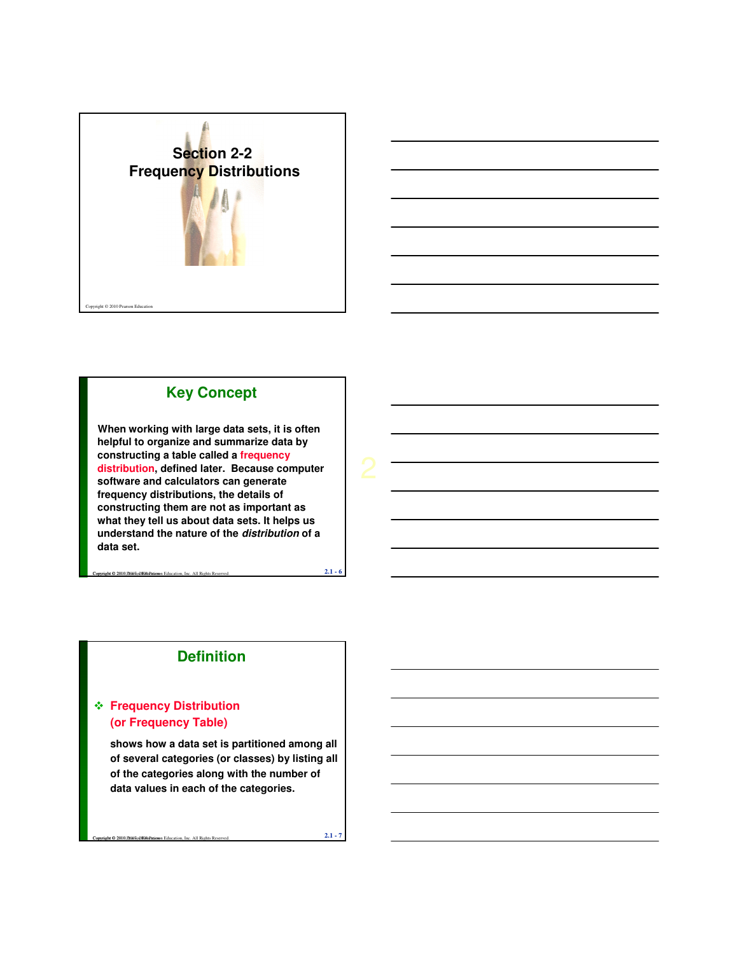



## **Key Concept**

**When working with large data sets, it is often helpful to organize and summarize data by constructing a table called a frequency distribution, defined later. Because computer software and calculators can generate frequency distributions, the details of constructing them are not as important as what they tell us about data sets. It helps us understand the nature of the distribution of a data set.** 

### **Definition**

Copyright © 2010, P.1907, 2008 Milli Participan Education, Inc. All Rights Reserved. **2.1 - 6** 

### **Frequency Distribution (or Frequency Table)**

**shows how a data set is partitioned among all of several categories (or classes) by listing all of the categories along with the number of data values in each of the categories.**

**Copyright © 2010, Ph967, 2007, 2004 Pearson Education, Inc. All Rights Reserved. 2.1 - 7**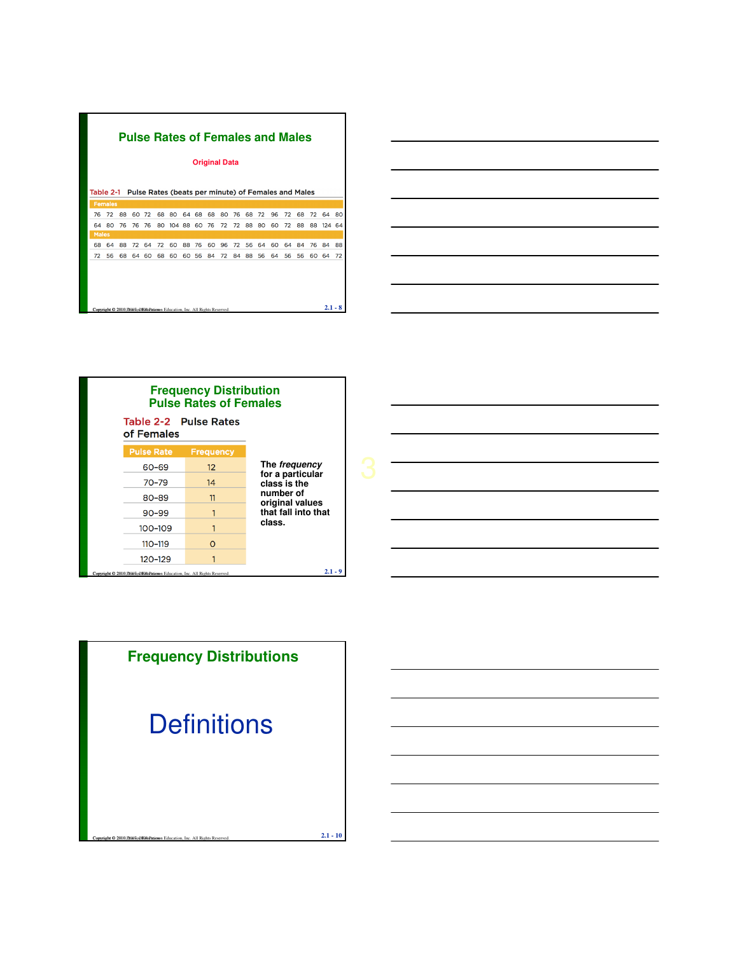|              |                |    |    |    |    | <b>Pulse Rates of Females and Males</b>                                  |    |    |    | <b>Original Data</b> |    |    |    |    |    |    |    |     |           |
|--------------|----------------|----|----|----|----|--------------------------------------------------------------------------|----|----|----|----------------------|----|----|----|----|----|----|----|-----|-----------|
|              |                |    |    |    |    |                                                                          |    |    |    |                      |    |    |    |    |    |    |    |     |           |
| Table 2-1    |                |    |    |    |    | Pulse Rates (beats per minute) of Females and Males                      |    |    |    |                      |    |    |    |    |    |    |    |     |           |
|              | <b>Females</b> |    |    |    |    |                                                                          |    |    |    |                      |    |    |    |    |    |    |    |     |           |
| 76           | 72             | 88 | 60 | 72 | 68 | 80                                                                       | 64 | 68 | 68 | 80                   | 76 | 68 | 72 | 96 | 72 | 68 | 72 | 64  | 80        |
| 64           | 80             | 76 | 76 | 76 | 80 | 104                                                                      | 88 | 60 | 76 | 72                   | 72 | 88 | 80 | 60 | 72 | 88 | 88 | 124 | 64        |
| <b>Males</b> |                |    |    |    |    |                                                                          |    |    |    |                      |    |    |    |    |    |    |    |     |           |
| 68           | 64             | 88 | 72 | 64 | 72 | 60                                                                       | 88 | 76 | 60 | 96                   | 72 | 56 | 64 | 60 | 64 | 84 | 76 | 84  | 88        |
| 72           | 56             | 68 | 64 | 60 | 68 | 60                                                                       | 60 | 56 | 84 | 72                   | 84 | 88 | 56 | 64 | 56 | 56 | 60 | 64  | 72        |
|              |                |    |    |    |    |                                                                          |    |    |    |                      |    |    |    |    |    |    |    |     |           |
|              |                |    |    |    |    |                                                                          |    |    |    |                      |    |    |    |    |    |    |    |     |           |
|              |                |    |    |    |    |                                                                          |    |    |    |                      |    |    |    |    |    |    |    |     |           |
|              |                |    |    |    |    |                                                                          |    |    |    |                      |    |    |    |    |    |    |    |     |           |
|              |                |    |    |    |    | Copyright © 2010.F2003o@ENDPatieson Education, Inc. All Rights Reserved. |    |    |    |                      |    |    |    |    |    |    |    |     | $2.1 - 8$ |





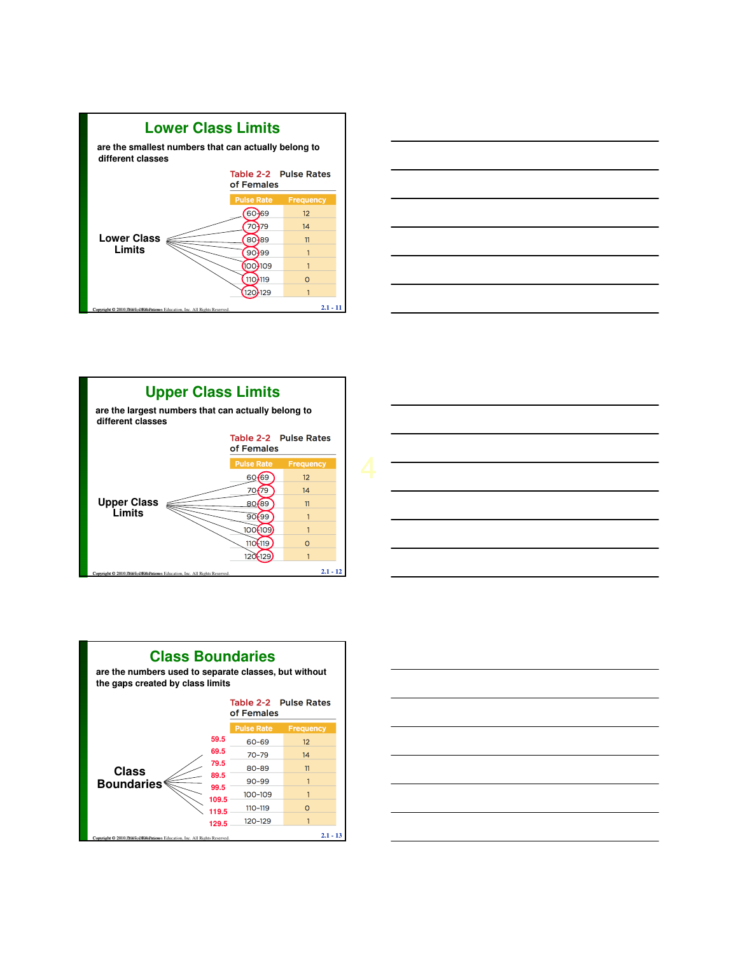









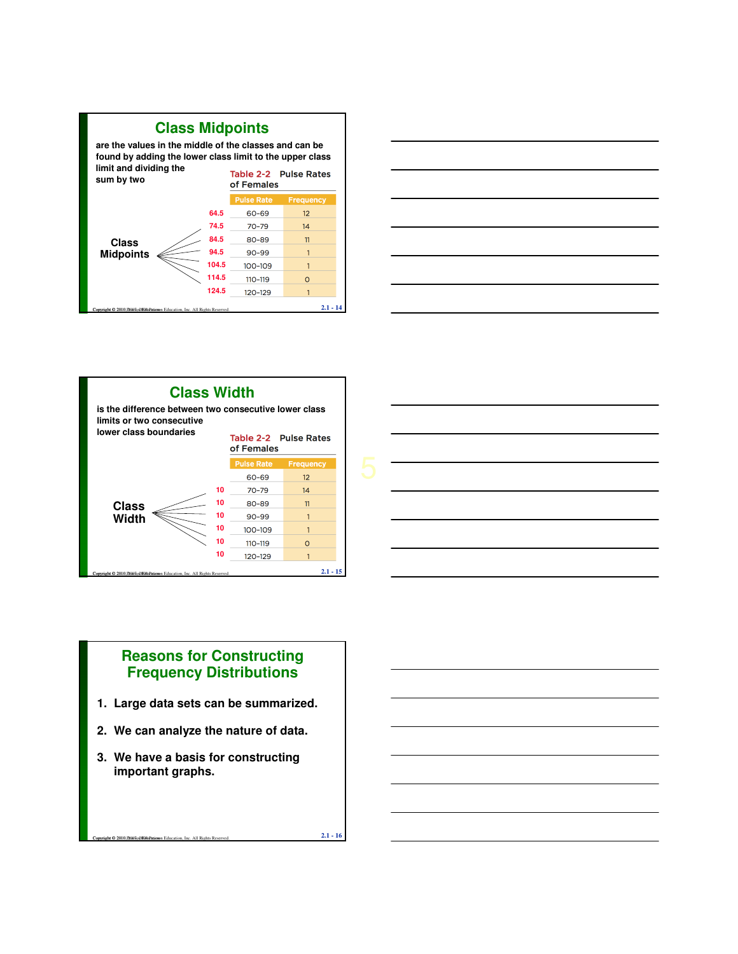







### **Reasons for Constructing Frequency Distributions**

- **1. Large data sets can be summarized.**
- **2. We can analyze the nature of data.**
- **3. We have a basis for constructing important graphs.**

**Copyright © 2010, Ph967, 2007 Pearson Education, Inc. All Rights Reserved. 2.1 - 16**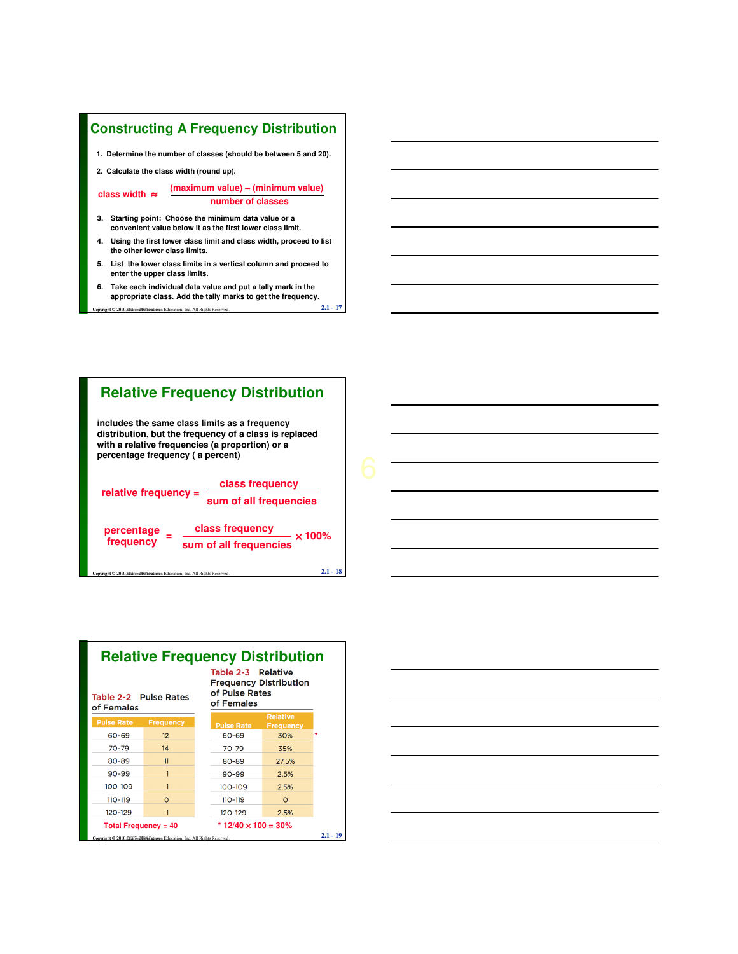#### **Constructing A Frequency Distribution**

**1. Determine the number of classes (should be between 5 and 20).**

**2. Calculate the class width (round up).**

**class width** ≈ **(maximum value) – (minimum value) number of classes**

- **3. Starting point: Choose the minimum data value or a convenient value below it as the first lower class limit.**
- **4. Using the first lower class limit and class width, proceed to list the other lower class limits.**
- **5. List the lower class limits in a vertical column and proceed to enter the upper class limits.**
- Copyright © 2010, P.1907, 2009 Pearson Education, Inc. All Rights Reserved. **2.1 17 6. Take each individual data value and put a tally mark in the appropriate class. Add the tally marks to get the frequency.**





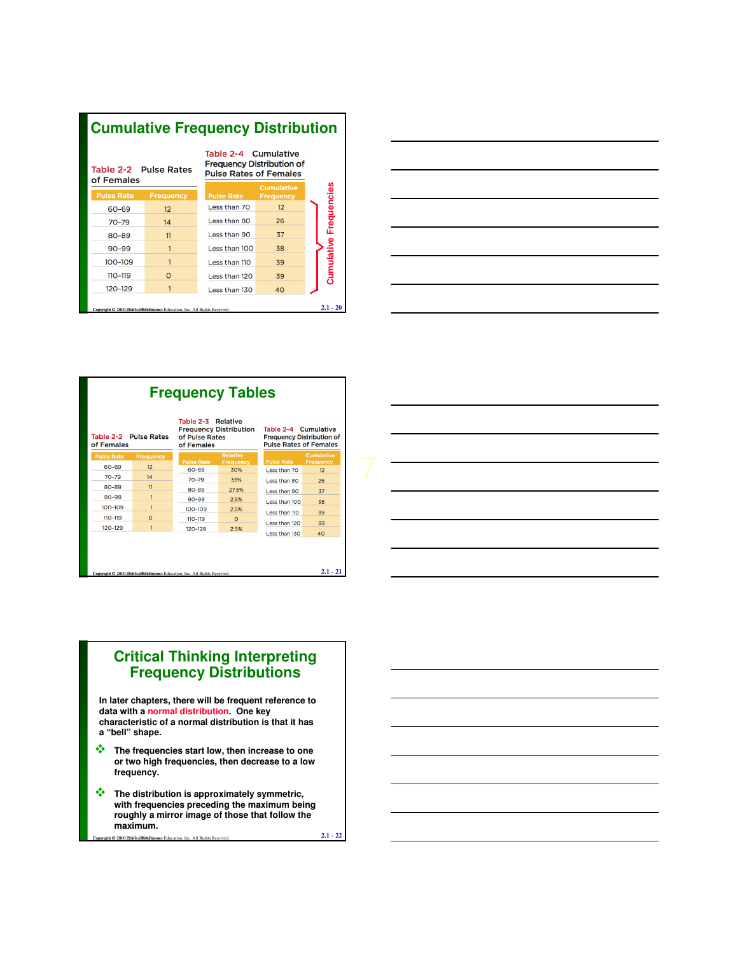| <b>Cumulative Frequency Distribution</b>                                                   |                  |                                                                                           |                                       |                               |  |  |  |  |
|--------------------------------------------------------------------------------------------|------------------|-------------------------------------------------------------------------------------------|---------------------------------------|-------------------------------|--|--|--|--|
| Table 2-2 Pulse Rates<br>of Females                                                        |                  | Table 2-4 Cumulative<br><b>Frequency Distribution of</b><br><b>Pulse Rates of Females</b> |                                       |                               |  |  |  |  |
| <b>Pulse Rate</b>                                                                          | <b>Frequency</b> | <b>Pulse Rate</b>                                                                         | <b>Cumulative</b><br><b>Frequency</b> |                               |  |  |  |  |
| 60-69                                                                                      | 12               | Less than 70                                                                              | 12                                    | <b>Cumulative Frequencies</b> |  |  |  |  |
| $70 - 79$                                                                                  | 14               | Less than 80                                                                              | 26                                    |                               |  |  |  |  |
| 80-89                                                                                      | 11               | Less than 90                                                                              | 37                                    |                               |  |  |  |  |
| $90 - 99$                                                                                  |                  | Less than 100                                                                             | 38                                    |                               |  |  |  |  |
| 100-109                                                                                    | 1                | Less than 110                                                                             | 39                                    |                               |  |  |  |  |
| 110-119                                                                                    | $\Omega$         | Less than 120                                                                             | 39                                    |                               |  |  |  |  |
| 120-129                                                                                    | 1                | Less than 130                                                                             | 40                                    |                               |  |  |  |  |
| $2.1 - 20$<br>Copyright © 2010. Philosophila Patieson Education. Inc. All Rights Reserved. |                  |                                                                                           |                                       |                               |  |  |  |  |



| <b>Frequency Tables</b><br>Table 2-3 Relative<br><b>Frequency Distribution</b><br>Table 2-4 Cumulative<br>Table 2-2 Pulse Rates<br>of Pulse Rates<br><b>Frequency Distribution of</b><br><b>Pulse Rates of Females</b><br>of Females<br>of Females |                  |                                                                          |                                     |                   |                                       |  |  |  |  |  |
|----------------------------------------------------------------------------------------------------------------------------------------------------------------------------------------------------------------------------------------------------|------------------|--------------------------------------------------------------------------|-------------------------------------|-------------------|---------------------------------------|--|--|--|--|--|
| <b>Pulse Rate</b>                                                                                                                                                                                                                                  | <b>Frequency</b> | <b>Pulse Rate</b>                                                        | <b>Relative</b><br><b>Frequency</b> | <b>Pulse Rate</b> | <b>Cumulative</b><br><b>Frequency</b> |  |  |  |  |  |
| 60-69                                                                                                                                                                                                                                              | 12               | 60-69                                                                    | 30%                                 | Less than 70      | 12                                    |  |  |  |  |  |
| $70 - 79$                                                                                                                                                                                                                                          | 14               | $70 - 79$                                                                | 35%                                 | Less than 80      | 26                                    |  |  |  |  |  |
| 80-89                                                                                                                                                                                                                                              | 11               | 80-89                                                                    | 27.5%                               | Less than 90      | 37                                    |  |  |  |  |  |
| $90 - 99$                                                                                                                                                                                                                                          | 1                | $90 - 99$                                                                | 2.5%                                | Less than 100     | 38                                    |  |  |  |  |  |
| 100-109                                                                                                                                                                                                                                            | $\overline{1}$   | $100 - 109$                                                              | 2.5%                                | Less than 110     | 39                                    |  |  |  |  |  |
| 110-119                                                                                                                                                                                                                                            | $\Omega$         | $110 - 119$                                                              | $\Omega$                            |                   |                                       |  |  |  |  |  |
| 120-129                                                                                                                                                                                                                                            | 1                | $120 - 129$                                                              | 2.5%                                | Less than 120     | 39                                    |  |  |  |  |  |
|                                                                                                                                                                                                                                                    |                  | Copyright © 2010.F2003o@ENDPatieson Education, Inc. All Rights Reserved. |                                     | Less than 130     | 40<br>$2.1 - 21$                      |  |  |  |  |  |



### **Critical Thinking Interpreting Frequency Distributions**

**In later chapters, there will be frequent reference to data with a normal distribution. One key characteristic of a normal distribution is that it has a "bell" shape.**

- **The frequencies start low, then increase to one or two high frequencies, then decrease to a low frequency.**
- $\frac{C_1}{2}$  **Copyright Copyright Copyright Copyright Copyright Copyright Copyright Copyright Copyright Copyright Copyright Copyright Copyright Copyright Copyright Copyright Copyright Copyright Copyright Copyright Copyrigh <sup>•</sup> The distribution is approximately symmetric, with frequencies preceding the maximum being roughly a mirror image of those that follow the maximum.**